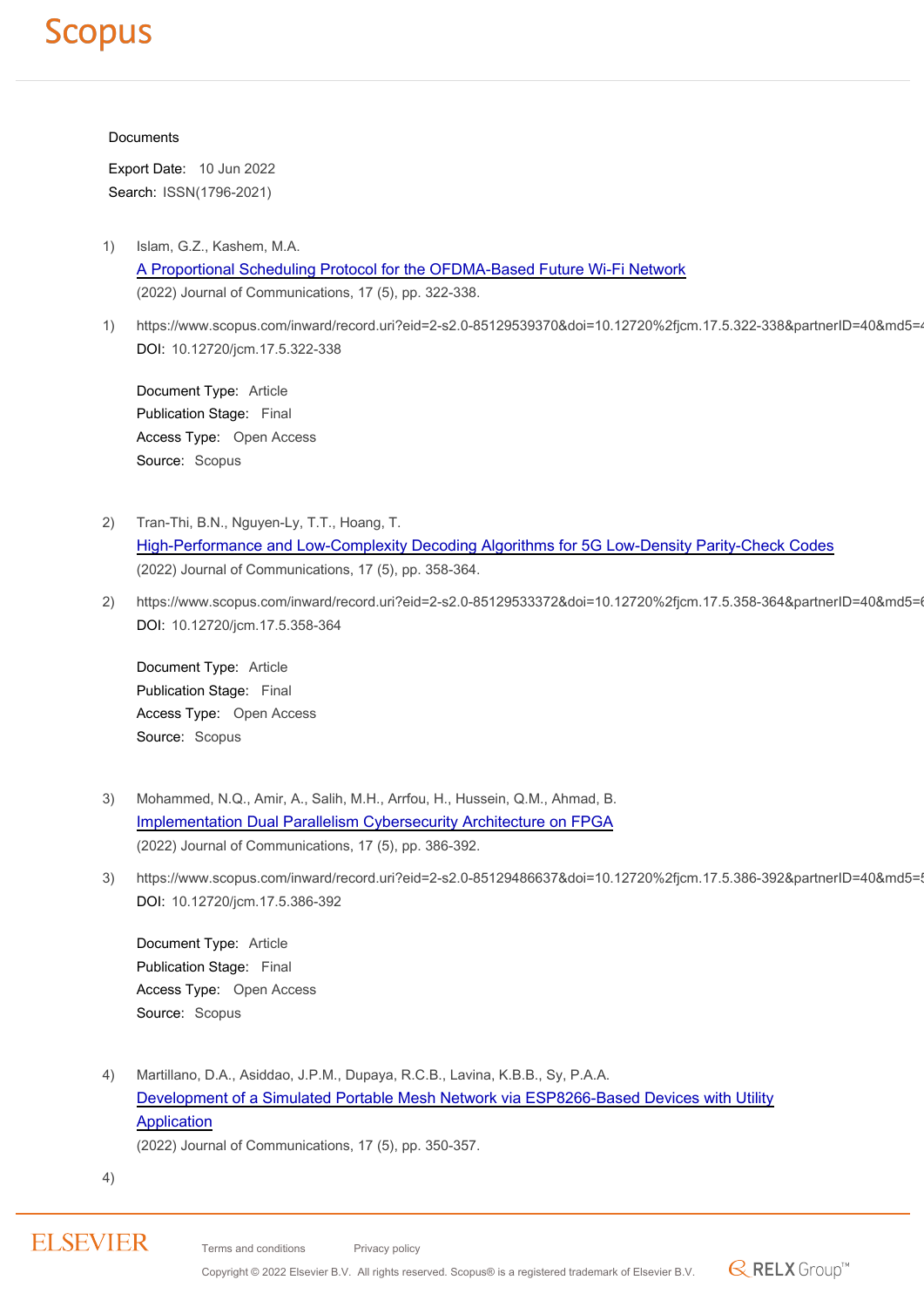#### **Documents**

Export Date: 10 Jun 2022 Search: ISSN(1796-2021)

1) Islam, G.Z., Kashem, M.A.

[A Proportional Scheduling Protocol for the OFDMA-Based Future Wi-Fi Network](https://www.scopus.com/record/display.uri?eid=2-s2.0-85129539370&origin=resultslist) (2022) Journal of Communications, 17 (5), pp. 322-338.

1) https://www.scopus.com/inward/record.uri?eid=2-s2.0-85129539370&doi=10.12720%2fjcm.17.5.322-338&partnerID=40&md5=4 DOI: 10.12720/jcm.17.5.322-338

Document Type: Article Publication Stage: Final Access Type: Open Access Source: Scopus

- 2) Tran-Thi, B.N., Nguyen-Ly, T.T., Hoang, T. [High-Performance and Low-Complexity Decoding Algorithms for 5G Low-Density Parity-Check Codes](https://www.scopus.com/record/display.uri?eid=2-s2.0-85129533372&origin=resultslist) (2022) Journal of Communications, 17 (5), pp. 358-364.
- 2) https://www.scopus.com/inward/record.uri?eid=2-s2.0-85129533372&doi=10.12720%2fjcm.17.5.358-364&partnerID=40&md5= DOI: 10.12720/jcm.17.5.358-364

Document Type: Article Publication Stage: Final Access Type: Open Access Source: Scopus

- 3) Mohammed, N.Q., Amir, A., Salih, M.H., Arrfou, H., Hussein, Q.M., Ahmad, B. [Implementation Dual Parallelism Cybersecurity Architecture on FPGA](https://www.scopus.com/record/display.uri?eid=2-s2.0-85129486637&origin=resultslist) (2022) Journal of Communications, 17 (5), pp. 386-392.
- 3) https://www.scopus.com/inward/record.uri?eid=2-s2.0-85129486637&doi=10.12720%2fjcm.17.5.386-392&partnerID=40&md5= DOI: 10.12720/jcm.17.5.386-392

Document Type: Article Publication Stage: Final Access Type: Open Access Source: Scopus

4) Martillano, D.A., Asiddao, J.P.M., Dupaya, R.C.B., Lavina, K.B.B., Sy, P.A.A. [Development of a Simulated Portable Mesh Network via ESP8266-Based Devices with Utility](https://www.scopus.com/record/display.uri?eid=2-s2.0-85129486316&origin=resultslist) [Application](https://www.scopus.com/record/display.uri?eid=2-s2.0-85129486316&origin=resultslist)

(2022) Journal of Communications, 17 (5), pp. 350-357.

4)

### **ELSEVIER**

Terms and conditions Privacy policy

Copyright © 2022 Elsevier B.V. All rights reserved. Scopus® is a registered trademark of Elsevier B.V.

 $\mathbb{R}$  RELX Group<sup>TM</sup>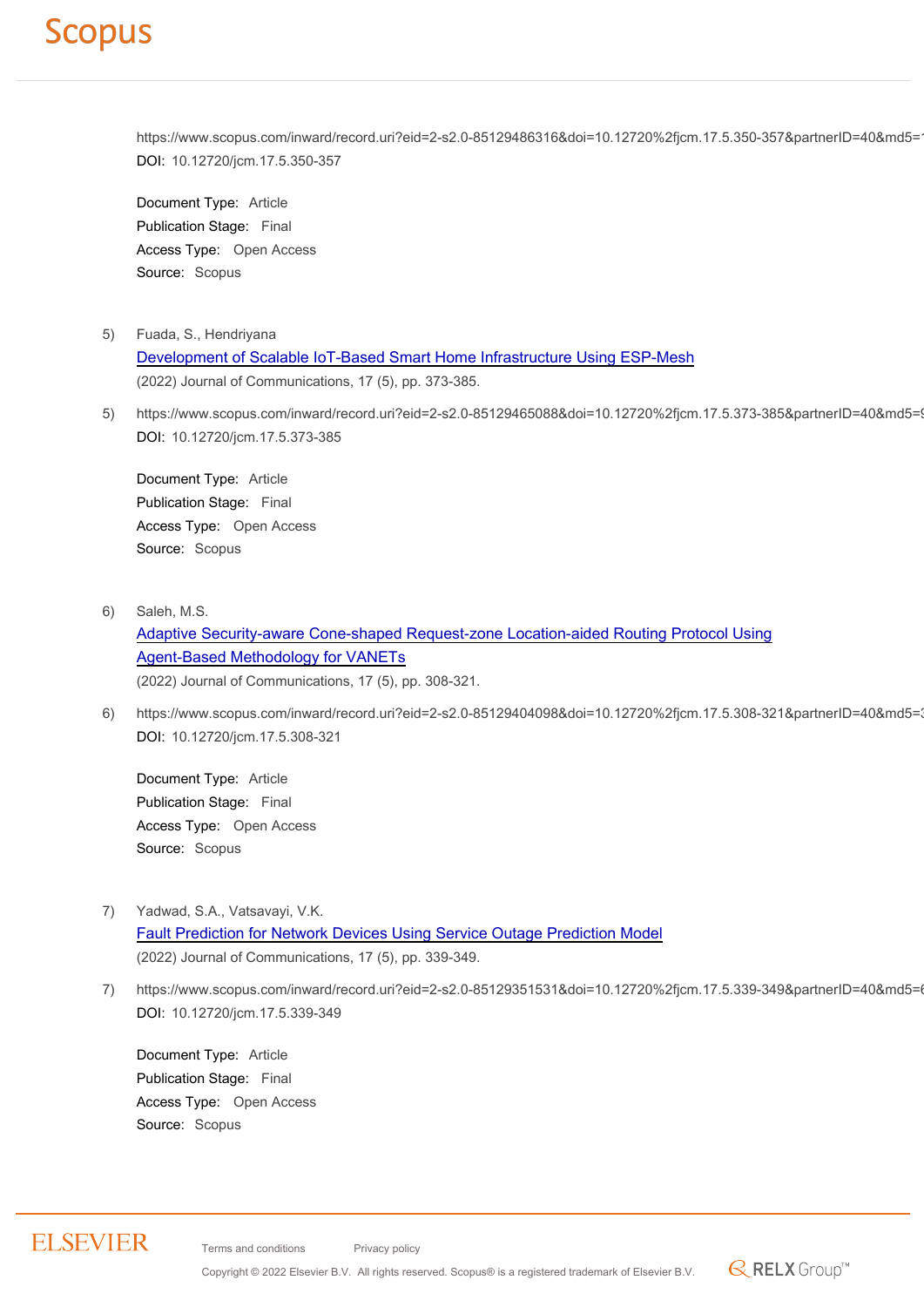https://www.scopus.com/inward/record.uri?eid=2-s2.0-85129486316&doi=10.12720%2fjcm.17.5.350-357&partnerID=40&md5= DOI: 10.12720/jcm.17.5.350-357

Document Type: Article Publication Stage: Final Access Type: Open Access Source: Scopus

- 5) Fuada, S., Hendriyana [Development of Scalable IoT-Based Smart Home Infrastructure Using ESP-Mesh](https://www.scopus.com/record/display.uri?eid=2-s2.0-85129465088&origin=resultslist) (2022) Journal of Communications, 17 (5), pp. 373-385.
- 5) https://www.scopus.com/inward/record.uri?eid=2-s2.0-85129465088&doi=10.12720%2fjcm.17.5.373-385&partnerID=40&md5=9 DOI: 10.12720/jcm.17.5.373-385

Document Type: Article Publication Stage: Final Access Type: Open Access Source: Scopus

6) Saleh, M.S.

[Adaptive Security-aware Cone-shaped Request-zone Location-aided Routing Protocol Using](https://www.scopus.com/record/display.uri?eid=2-s2.0-85129404098&origin=resultslist) [Agent-Based Methodology for VANETs](https://www.scopus.com/record/display.uri?eid=2-s2.0-85129404098&origin=resultslist)

(2022) Journal of Communications, 17 (5), pp. 308-321.

6) https://www.scopus.com/inward/record.uri?eid=2-s2.0-85129404098&doi=10.12720%2fjcm.17.5.308-321&partnerID=40&md5=3 DOI: 10.12720/jcm.17.5.308-321

Document Type: Article Publication Stage: Final Access Type: Open Access Source: Scopus

- 7) Yadwad, S.A., Vatsavayi, V.K. [Fault Prediction for Network Devices Using Service Outage Prediction Model](https://www.scopus.com/record/display.uri?eid=2-s2.0-85129351531&origin=resultslist) (2022) Journal of Communications, 17 (5), pp. 339-349.
- 7) https://www.scopus.com/inward/record.uri?eid=2-s2.0-85129351531&doi=10.12720%2fjcm.17.5.339-349&partnerID=40&md5= DOI: 10.12720/jcm.17.5.339-349

 $\mathbb{R}$  RELX Group<sup>TM</sup>

Document Type: Article Publication Stage: Final Access Type: Open Access Source: Scopus

#### **ELSEVIER**

Terms and conditions Privacy policy

Copyright © 2022 Elsevier B.V. All rights reserved. Scopus® is a registered trademark of Elsevier B.V.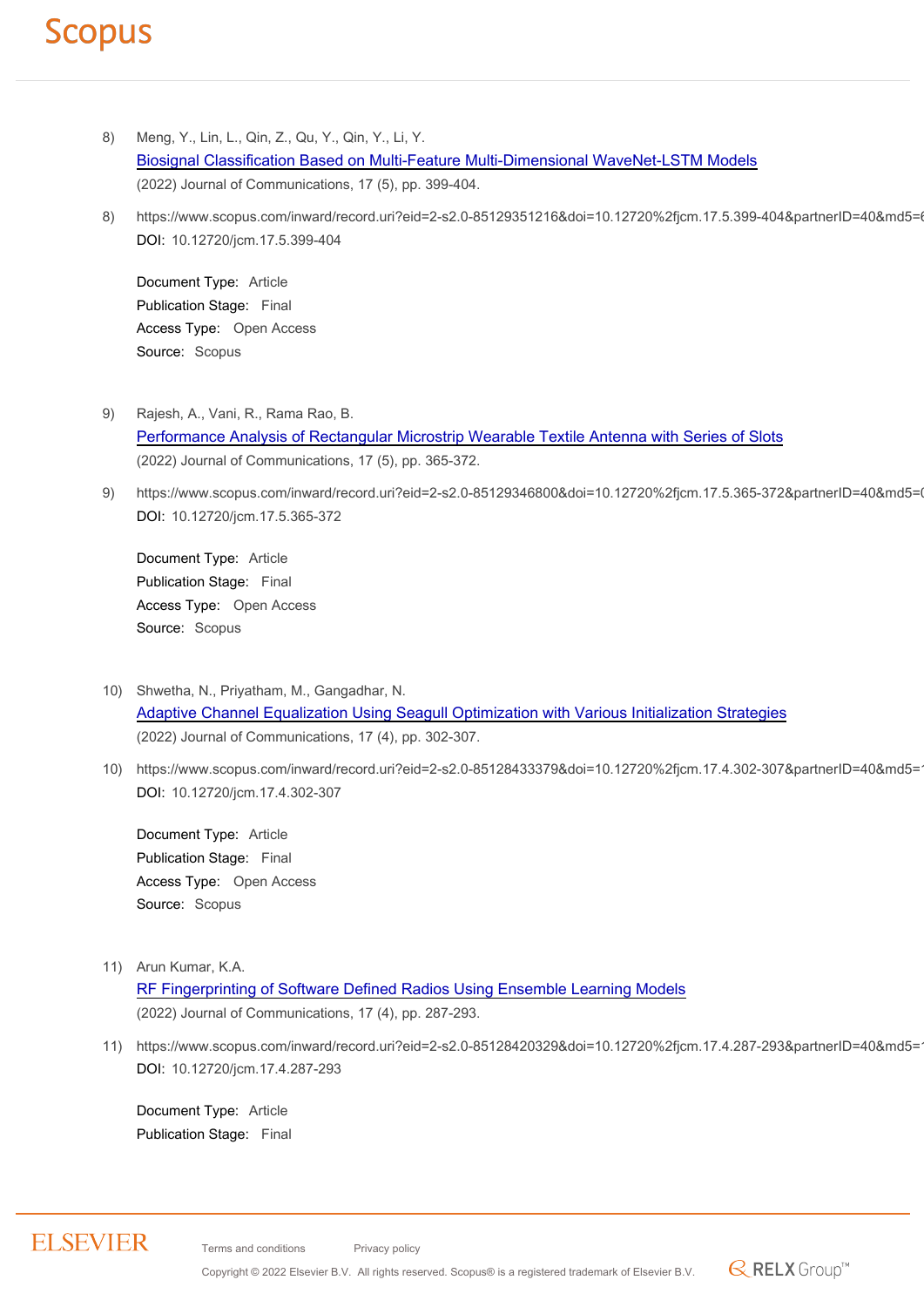- 8) Meng, Y., Lin, L., Qin, Z., Qu, Y., Qin, Y., Li, Y. [Biosignal Classification Based on Multi-Feature Multi-Dimensional WaveNet-LSTM Models](https://www.scopus.com/record/display.uri?eid=2-s2.0-85129351216&origin=resultslist) (2022) Journal of Communications, 17 (5), pp. 399-404.
- 8) https://www.scopus.com/inward/record.uri?eid=2-s2.0-85129351216&doi=10.12720%2fjcm.17.5.399-404&partnerID=40&md5= DOI: 10.12720/jcm.17.5.399-404

Document Type: Article Publication Stage: Final Access Type: Open Access Source: Scopus

- 9) Rajesh, A., Vani, R., Rama Rao, B. [Performance Analysis of Rectangular Microstrip Wearable Textile Antenna with Series of Slots](https://www.scopus.com/record/display.uri?eid=2-s2.0-85129346800&origin=resultslist) (2022) Journal of Communications, 17 (5), pp. 365-372.
- 9) https://www.scopus.com/inward/record.uri?eid=2-s2.0-85129346800&doi=10.12720%2fjcm.17.5.365-372&partnerID=40&md5=0 DOI: 10.12720/jcm.17.5.365-372

Document Type: Article Publication Stage: Final Access Type: Open Access Source: Scopus

- 10) Shwetha, N., Priyatham, M., Gangadhar, N. [Adaptive Channel Equalization Using Seagull Optimization with Various Initialization Strategies](https://www.scopus.com/record/display.uri?eid=2-s2.0-85128433379&origin=resultslist) (2022) Journal of Communications, 17 (4), pp. 302-307.
- 10) https://www.scopus.com/inward/record.uri?eid=2-s2.0-85128433379&doi=10.12720%2fjcm.17.4.302-307&partnerID=40&md5= DOI: 10.12720/jcm.17.4.302-307

Document Type: Article Publication Stage: Final Access Type: Open Access Source: Scopus

- 11) Arun Kumar, K.A. [RF Fingerprinting of Software Defined Radios Using Ensemble Learning Models](https://www.scopus.com/record/display.uri?eid=2-s2.0-85128420329&origin=resultslist) (2022) Journal of Communications, 17 (4), pp. 287-293.
- 11) https://www.scopus.com/inward/record.uri?eid=2-s2.0-85128420329&doi=10.12720%2fjcm.17.4.287-293&partnerID=40&md5= DOI: 10.12720/jcm.17.4.287-293

Document Type: Article Publication Stage: Final

#### **ELSEVIER**

Terms and conditions Privacy policy Copyright © 2022 Elsevier B.V. All rights reserved. Scopus® is a registered trademark of Elsevier B.V.

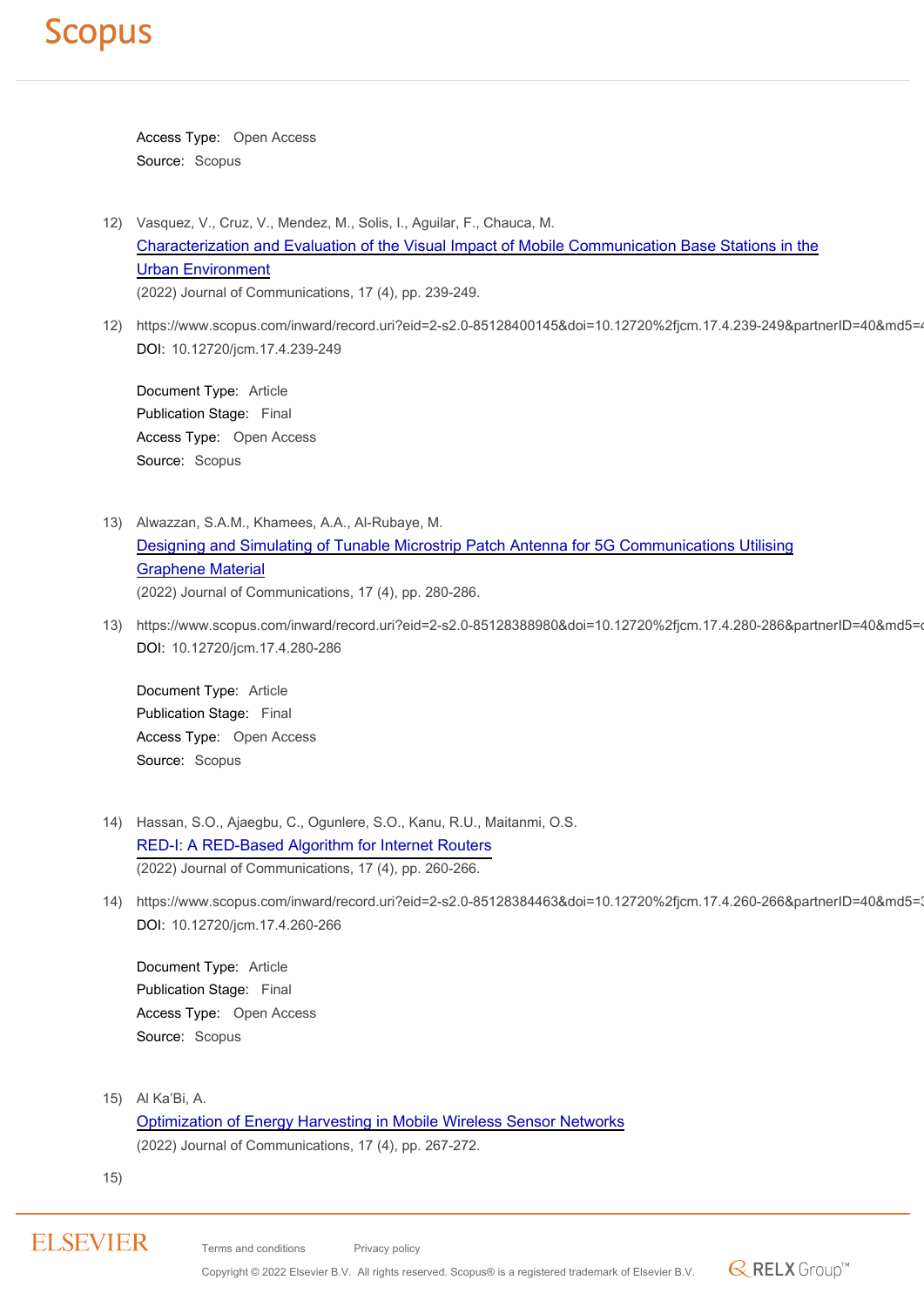Access Type: Open Access Source: Scopus

- 12) Vasquez, V., Cruz, V., Mendez, M., Solis, I., Aguilar, F., Chauca, M. [Characterization and Evaluation of the Visual Impact of Mobile Communication Base Stations in the](https://www.scopus.com/record/display.uri?eid=2-s2.0-85128400145&origin=resultslist) [Urban Environment](https://www.scopus.com/record/display.uri?eid=2-s2.0-85128400145&origin=resultslist) (2022) Journal of Communications, 17 (4), pp. 239-249.
- 12) https://www.scopus.com/inward/record.uri?eid=2-s2.0-85128400145&doi=10.12720%2fjcm.17.4.239-249&partnerID=40&md5=4 DOI: 10.12720/jcm.17.4.239-249

Document Type: Article Publication Stage: Final Access Type: Open Access Source: Scopus

- 13) Alwazzan, S.A.M., Khamees, A.A., Al-Rubaye, M. [Designing and Simulating of Tunable Microstrip Patch Antenna for 5G Communications Utilising](https://www.scopus.com/record/display.uri?eid=2-s2.0-85128388980&origin=resultslist) [Graphene Material](https://www.scopus.com/record/display.uri?eid=2-s2.0-85128388980&origin=resultslist) (2022) Journal of Communications, 17 (4), pp. 280-286.
- 13) https://www.scopus.com/inward/record.uri?eid=2-s2.0-85128388980&doi=10.12720%2fjcm.17.4.280-286&partnerID=40&md5= DOI: 10.12720/jcm.17.4.280-286

Document Type: Article Publication Stage: Final Access Type: Open Access Source: Scopus

- 14) Hassan, S.O., Ajaegbu, C., Ogunlere, S.O., Kanu, R.U., Maitanmi, O.S. [RED-I: A RED-Based Algorithm for Internet Routers](https://www.scopus.com/record/display.uri?eid=2-s2.0-85128384463&origin=resultslist) (2022) Journal of Communications, 17 (4), pp. 260-266.
- 14) https://www.scopus.com/inward/record.uri?eid=2-s2.0-85128384463&doi=10.12720%2fjcm.17.4.260-266&partnerID=40&md5=3 DOI: 10.12720/jcm.17.4.260-266

Document Type: Article Publication Stage: Final Access Type: Open Access Source: Scopus

15) Al Ka'Bi, A. [Optimization of Energy Harvesting in Mobile Wireless Sensor Networks](https://www.scopus.com/record/display.uri?eid=2-s2.0-85128382668&origin=resultslist) (2022) Journal of Communications, 17 (4), pp. 267-272.

15)

Terms and conditions Privacy policy

Copyright © 2022 Elsevier B.V. All rights reserved. Scopus® is a registered trademark of Elsevier B.V.

 $\mathbb{R}$  RELX Group<sup>TM</sup>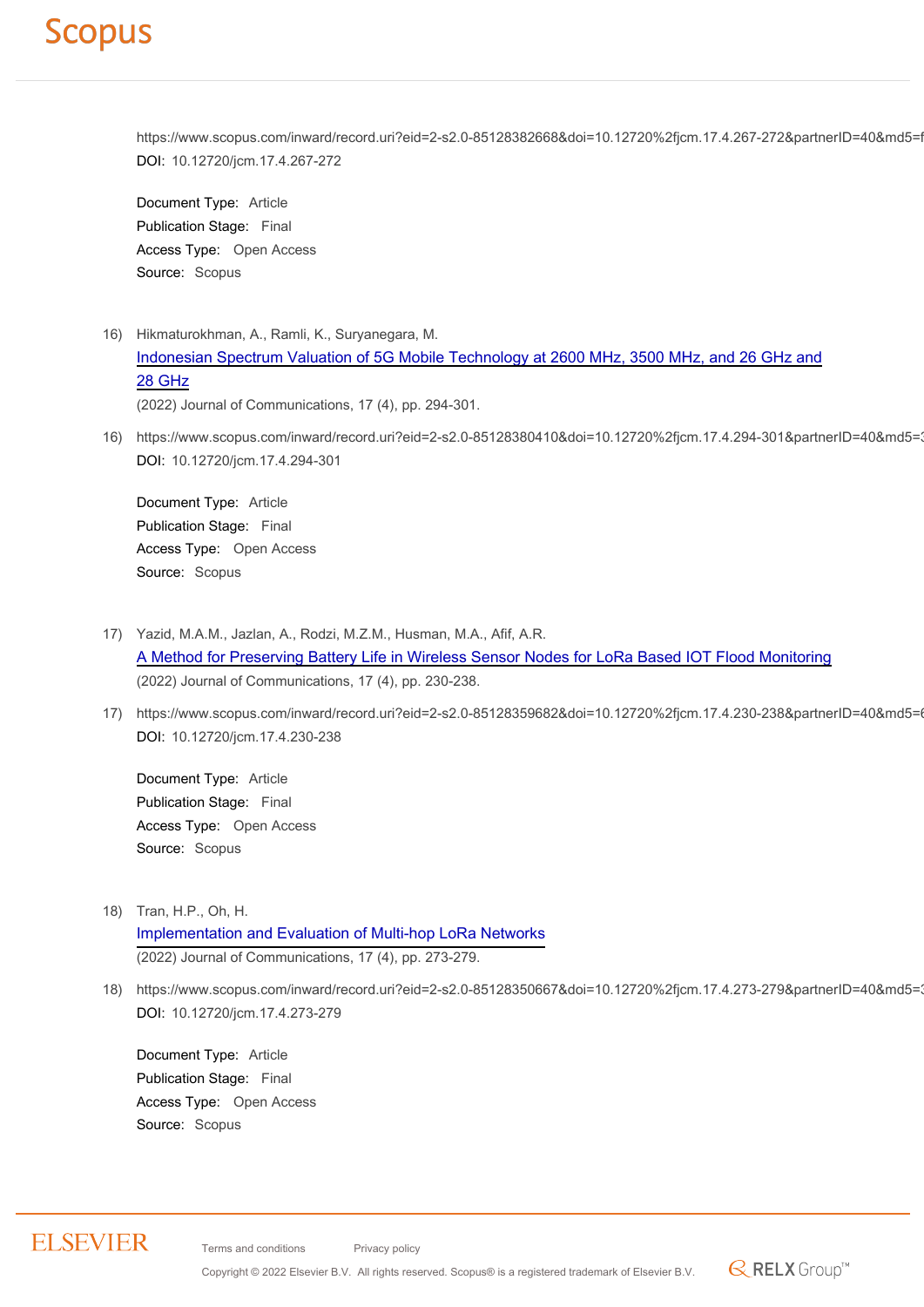https://www.scopus.com/inward/record.uri?eid=2-s2.0-85128382668&doi=10.12720%2fjcm.17.4.267-272&partnerID=40&md5=f DOI: 10.12720/jcm.17.4.267-272

Document Type: Article Publication Stage: Final Access Type: Open Access Source: Scopus

- 16) Hikmaturokhman, A., Ramli, K., Suryanegara, M. [Indonesian Spectrum Valuation of 5G Mobile Technology at 2600 MHz, 3500 MHz, and 26 GHz and](https://www.scopus.com/record/display.uri?eid=2-s2.0-85128380410&origin=resultslist) [28 GHz](https://www.scopus.com/record/display.uri?eid=2-s2.0-85128380410&origin=resultslist) (2022) Journal of Communications, 17 (4), pp. 294-301.
- 16) https://www.scopus.com/inward/record.uri?eid=2-s2.0-85128380410&doi=10.12720%2fjcm.17.4.294-301&partnerID=40&md5=3 DOI: 10.12720/jcm.17.4.294-301

Document Type: Article Publication Stage: Final Access Type: Open Access Source: Scopus

- 17) Yazid, M.A.M., Jazlan, A., Rodzi, M.Z.M., Husman, M.A., Afif, A.R. [A Method for Preserving Battery Life in Wireless Sensor Nodes for LoRa Based IOT Flood Monitoring](https://www.scopus.com/record/display.uri?eid=2-s2.0-85128359682&origin=resultslist) (2022) Journal of Communications, 17 (4), pp. 230-238.
- 17) https://www.scopus.com/inward/record.uri?eid=2-s2.0-85128359682&doi=10.12720%2fjcm.17.4.230-238&partnerID=40&md5= DOI: 10.12720/jcm.17.4.230-238

Document Type: Article Publication Stage: Final Access Type: Open Access Source: Scopus

- 18) Tran, H.P., Oh, H. [Implementation and Evaluation of Multi-hop LoRa Networks](https://www.scopus.com/record/display.uri?eid=2-s2.0-85128350667&origin=resultslist) (2022) Journal of Communications, 17 (4), pp. 273-279.
- 18) https://www.scopus.com/inward/record.uri?eid=2-s2.0-85128350667&doi=10.12720%2fjcm.17.4.273-279&partnerID=40&md5=3 DOI: 10.12720/jcm.17.4.273-279

 $\mathbb{R}$  RELX Group<sup>TM</sup>

Document Type: Article Publication Stage: Final Access Type: Open Access Source: Scopus

#### **ELSEVIER**

Terms and conditions Privacy policy

Copyright © 2022 Elsevier B.V. All rights reserved. Scopus® is a registered trademark of Elsevier B.V.